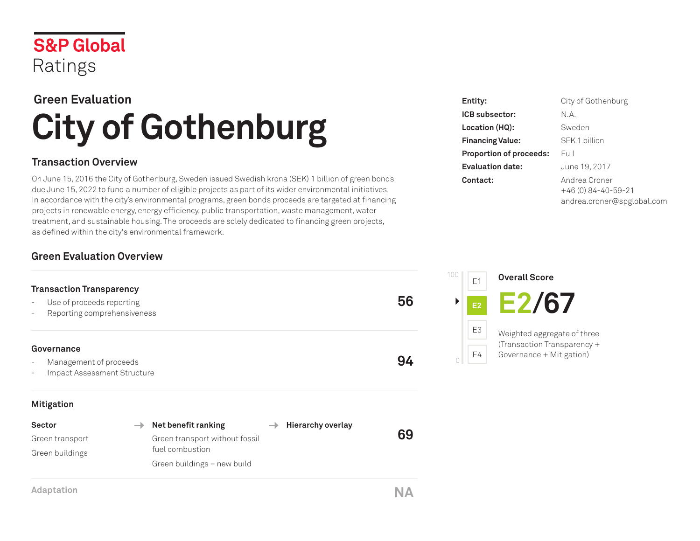

# **Green Evaluation City of Gothenburg**

### **Transaction Overview**

On June 15, 2016 the City of Gothenburg, Sweden issued Swedish krona (SEK) 1 billion of green bonds due June 15, 2022 to fund a number of eligible projects as part of its wider environmental initiatives. In accordance with the city's environmental programs, green bonds proceeds are targeted at financing projects in renewable energy, energy efficiency, public transportation, waste management, water treatment, and sustainable housing. The proceeds are solely dedicated to financing green projects, as defined within the city's environmental framework.

### **Green Evaluation Overview**

# **Transaction Transparency** Use of proceeds reporting - Reporting comprehensiveness **56 Governance** Management of proceeds Impact Assessment Structure **94 Mitigation**

| Sector          | $\rightarrow$ Net benefit ranking |  | $\rightarrow$ Hierarchy overlay |    |
|-----------------|-----------------------------------|--|---------------------------------|----|
| Green transport | Green transport without fossil    |  |                                 | 69 |
| Green buildings | fuel combustion                   |  |                                 |    |
|                 | Green buildings - new build       |  |                                 |    |
|                 |                                   |  |                                 |    |
|                 |                                   |  |                                 |    |

| Entity:                        | City of Gothenburg         |
|--------------------------------|----------------------------|
| ICB subsector:                 | N.A.                       |
| Location (HQ):                 | Sweden                     |
| <b>Financing Value:</b>        | SEK 1 billion              |
| <b>Proportion of proceeds:</b> | Full                       |
| <b>Evaluation date:</b>        | June 19, 2017              |
| Contact:                       | Andrea Croner              |
|                                | $+46(0)84-40-59-21$        |
|                                | andrea.croner@spglobal.com |



**Adaptation NA**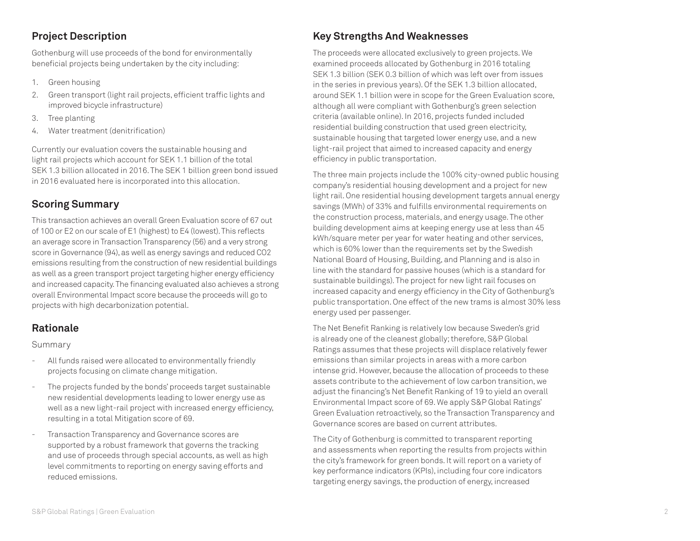### **Project Description**

Gothenburg will use proceeds of the bond for environmentally beneficial projects being undertaken by the city including:

- 1. Green housing
- 2. Green transport (light rail projects, efficient traffic lights and improved bicycle infrastructure)
- 3. Tree planting
- 4. Water treatment (denitrification)

Currently our evaluation covers the sustainable housing and light rail projects which account for SEK 1.1 billion of the total SEK 1.3 billion allocated in 2016. The SEK 1 billion green bond issued in 2016 evaluated here is incorporated into this allocation.

### **Scoring Summary**

This transaction achieves an overall Green Evaluation score of 67 out of 100 or E2 on our scale of E1 (highest) to E4 (lowest). This reflects an average score in Transaction Transparency (56) and a very strong score in Governance (94), as well as energy savings and reduced CO2 emissions resulting from the construction of new residential buildings as well as a green transport project targeting higher energy efficiency and increased capacity. The financing evaluated also achieves a strong overall Environmental Impact score because the proceeds will go to projects with high decarbonization potential.

#### **Rationale**

Summary

- All funds raised were allocated to environmentally friendly projects focusing on climate change mitigation.
- The projects funded by the bonds' proceeds target sustainable new residential developments leading to lower energy use as well as a new light-rail project with increased energy efficiency, resulting in a total Mitigation score of 69.
- Transaction Transparency and Governance scores are supported by a robust framework that governs the tracking and use of proceeds through special accounts, as well as high level commitments to reporting on energy saving efforts and reduced emissions.

## **Key Strengths And Weaknesses**

The proceeds were allocated exclusively to green projects. We examined proceeds allocated by Gothenburg in 2016 totaling SEK 1.3 billion (SEK 0.3 billion of which was left over from issues in the series in previous years). Of the SEK 1.3 billion allocated, around SEK 1.1 billion were in scope for the Green Evaluation score, although all were compliant with Gothenburg's green selection criteria (available online). In 2016, projects funded included residential building construction that used green electricity, sustainable housing that targeted lower energy use, and a new light-rail project that aimed to increased capacity and energy efficiency in public transportation.

The three main projects include the 100% city-owned public housing company's residential housing development and a project for new light rail. One residential housing development targets annual energy savings (MWh) of 33% and fulfills environmental requirements on the construction process, materials, and energy usage. The other building development aims at keeping energy use at less than 45 kWh/square meter per year for water heating and other services, which is 60% lower than the requirements set by the Swedish National Board of Housing, Building, and Planning and is also in line with the standard for passive houses (which is a standard for sustainable buildings). The project for new light rail focuses on increased capacity and energy efficiency in the City of Gothenburg's public transportation. One effect of the new trams is almost 30% less energy used per passenger.

The Net Benefit Ranking is relatively low because Sweden's grid is already one of the cleanest globally; therefore, S&P Global Ratings assumes that these projects will displace relatively fewer emissions than similar projects in areas with a more carbon intense grid. However, because the allocation of proceeds to these assets contribute to the achievement of low carbon transition, we adjust the financing's Net Benefit Ranking of 19 to yield an overall Environmental Impact score of 69. We apply S&P Global Ratings' Green Evaluation retroactively, so the Transaction Transparency and Governance scores are based on current attributes.

The City of Gothenburg is committed to transparent reporting and assessments when reporting the results from projects within the city's framework for green bonds. It will report on a variety of key performance indicators (KPIs), including four core indicators targeting energy savings, the production of energy, increased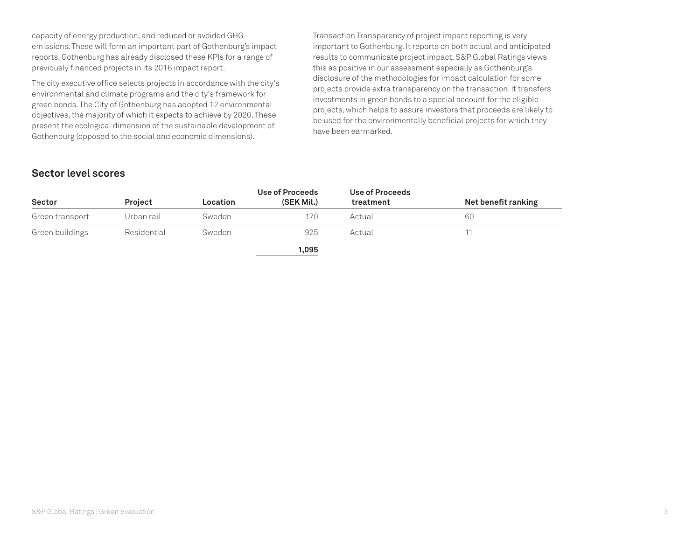capacity of energy production, and reduced or avoided GHG emissions. These will form an important part of Gothenburg's impact reports. Gothenburg has already disclosed these KPIs for a range of previously financed projects in its 2016 impact report.

The city executive office selects projects in accordance with the city's environmental and climate programs and the city's framework for green bonds. The City of Gothenburg has adopted 12 environmental objectives, the majority of which it expects to achieve by 2020. These present the ecological dimension of the sustainable development of Gothenburg (opposed to the social and economic dimensions).

Transaction Transparency of project impact reporting is very important to Gothenburg. It reports on both actual and anticipated results to communicate project impact. S&P Global Ratings views this as positive in our assessment especially as Gothenburg's disclosure of the methodologies for impact calculation for some projects provide extra transparency on the transaction. It transfers investments in green bonds to a special account for the eligible projects, which helps to assure investors that proceeds are likely to be used for the environmentally beneficial projects for which they have been earmarked.

#### **Sector level scores**

| <b>Sector</b>   | <b>Project</b> | Location | Use of Proceeds<br>(SEK Mil.) | Use of Proceeds<br>treatment | Net benefit ranking |
|-----------------|----------------|----------|-------------------------------|------------------------------|---------------------|
| Green transport | Urban rail     | Sweden   | 170                           | Actual                       | 60                  |
| Green buildings | Residential    | Sweden   | 925                           | Actual                       |                     |
|                 |                |          | 1,095                         |                              |                     |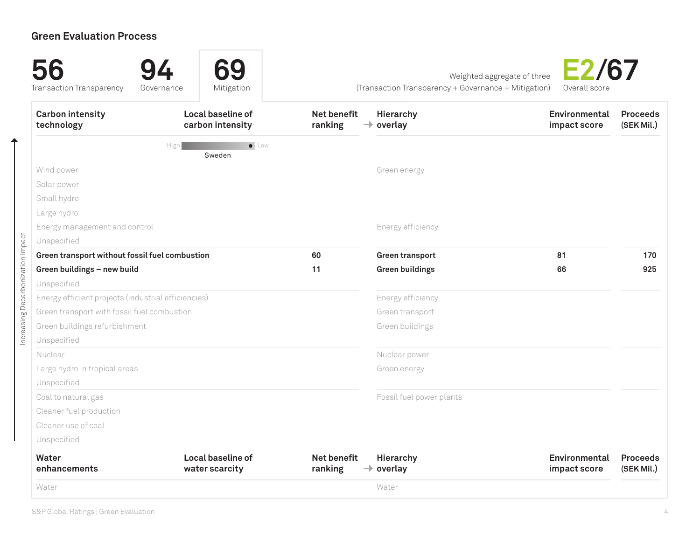# **Green Evaluation Process**

| <b>Carbon intensity</b><br>technology               | Local baseline of<br>carbon intensity | <b>Net benefit</b><br>ranking | Hierarchy<br>$\rightarrow$ overlay | Environmental<br>impact score | <b>Proceeds</b><br>(SEK Mil.) |
|-----------------------------------------------------|---------------------------------------|-------------------------------|------------------------------------|-------------------------------|-------------------------------|
|                                                     | $\bullet$ Low<br>High<br>Sweden       |                               |                                    |                               |                               |
| Wind power                                          |                                       |                               | Green energy                       |                               |                               |
| Solar power                                         |                                       |                               |                                    |                               |                               |
| Small hydro                                         |                                       |                               |                                    |                               |                               |
| Large hydro                                         |                                       |                               |                                    |                               |                               |
| Energy management and control                       |                                       |                               | Energy efficiency                  |                               |                               |
| Unspecified                                         |                                       |                               |                                    |                               |                               |
| Green transport without fossil fuel combustion      |                                       | 60                            | <b>Green transport</b>             | 81                            | 170                           |
| Green buildings - new build                         |                                       | 11                            | <b>Green buildings</b>             | 66                            | 925                           |
| Unspecified                                         |                                       |                               |                                    |                               |                               |
| Energy efficient projects (industrial efficiencies) |                                       |                               | Energy efficiency                  |                               |                               |
| Green transport with fossil fuel combustion         |                                       |                               | Green transport                    |                               |                               |
| Green buildings refurbishment                       |                                       |                               | Green buildings                    |                               |                               |
| Unspecified                                         |                                       |                               |                                    |                               |                               |
| Nuclear                                             |                                       |                               | Nuclear power                      |                               |                               |
| Large hydro in tropical areas                       |                                       |                               | Green energy                       |                               |                               |
| Unspecified                                         |                                       |                               |                                    |                               |                               |
| Coal to natural gas                                 |                                       |                               | Fossil fuel power plants           |                               |                               |
| Cleaner fuel production                             |                                       |                               |                                    |                               |                               |
| Cleaner use of coal                                 |                                       |                               |                                    |                               |                               |
| Unspecified                                         |                                       |                               |                                    |                               |                               |
| Water<br>enhancements                               | Local baseline of<br>water scarcity   | Net benefit<br>ranking        | Hierarchy<br>$\rightarrow$ overlay | Environmental<br>impact score | <b>Proceeds</b><br>(SEK Mil.) |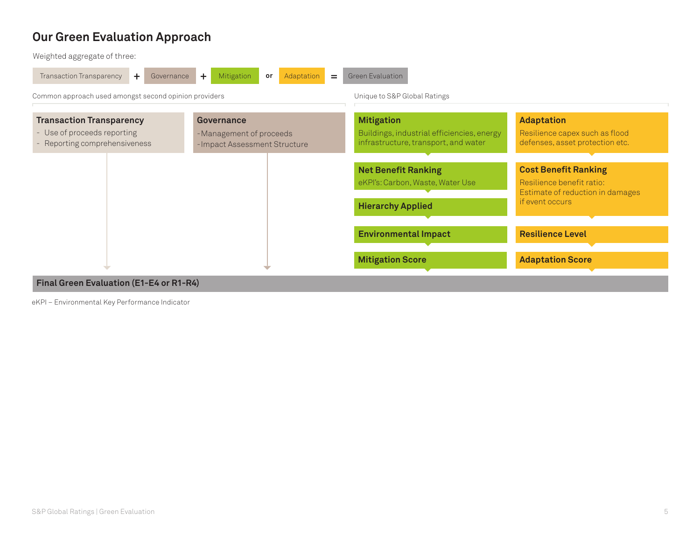# **Our Green Evaluation Approach**

Weighted aggregate of three:



#### **Final Green Evaluation (E1-E4 or R1-R4)**

eKPI – Environmental Key Performance Indicator